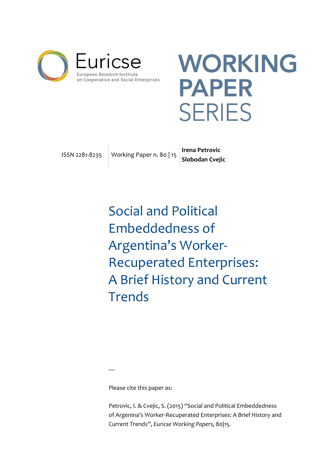

# WORKING **PAPER SERIES**

ISSN 2281-8235 Working Paper n. 80 | 15 **Irena Petrovic** 

**Slobodan Cvejic** 

Social and Political Embeddedness of Argentina's Worker-Recuperated Enterprises: A Brief History and Current **Trends** 

Please cite this paper as:

—

Petrovic, I. & Cvejic, S. (2015) "Social and Political Embeddedness of Argenina's Worker-Recuperated Enterprises: A Brief History and Current Trends", *Euricse Working Papers,* 80|15.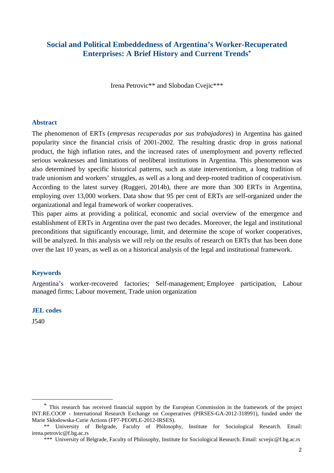# **Social and Political Embeddedness of Argentina's Worker-Recuperated Enterprises: A Brief History and Current Trends\***

Irena Petrovic\*\* and Slobodan Cvejic\*\*\*

#### **Abstract**

The phenomenon of ERTs (*empresas recuperadas por sus trabajadores*) in Argentina has gained popularity since the financial crisis of 2001-2002. The resulting drastic drop in gross national product, the high inflation rates, and the increased rates of unemployment and poverty reflected serious weaknesses and limitations of neoliberal institutions in Argentina. This phenomenon was also determined by specific historical patterns, such as state interventionism, a long tradition of trade unionism and workers' struggles, as well as a long and deep-rooted tradition of cooperativism. According to the latest survey (Ruggeri, 2014b), there are more than 300 ERTs in Argentina, employing over 13,000 workers. Data show that 95 per cent of ERTs are self-organized under the organizational and legal framework of worker cooperatives.

This paper aims at providing a political, economic and social overview of the emergence and establishment of ERTs in Argentina over the past two decades. Moreover, the legal and institutional preconditions that significantly encourage, limit, and determine the scope of worker cooperatives, will be analyzed. In this analysis we will rely on the results of research on ERTs that has been done over the last 10 years, as well as on a historical analysis of the legal and institutional framework.

#### **Keywords**

Argentina's worker-recovered factories; Self-management; Employee participation, Labour managed firms; Labour movement, Trade union organization

#### **JEL codes**

J540

<sup>\*</sup> This research has received financial support by the European Commission in the framework of the project INT.RE.COOP - International Research Exchange on Cooperatives (PIRSES-GA-2012-318991), funded under the Marie Skłodowska-Curie Actions (FP7-PEOPLE-2012-IRSES).

<sup>\*\*</sup> University of Belgrade, Faculty of Philosophy, Institute for Sociological Research. Email: irena.petrovic@f.bg.ac.rs

<sup>\*\*\*</sup> University of Belgrade, Faculty of Philosophy, Institute for Sociological Research. Email: scvejic@f.bg.ac.rs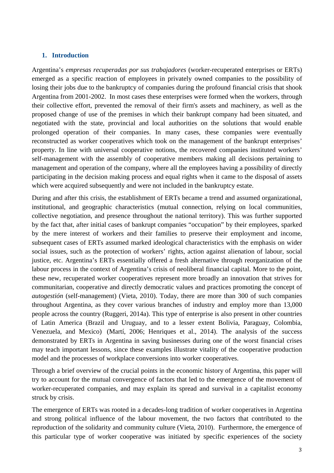# **1. Introduction**

Argentina's *empresas recuperadas por sus trabajadores* (worker-recuperated enterprises or ERTs) emerged as a specific reaction of employees in privately owned companies to the possibility of losing their jobs due to the bankruptcy of companies during the profound financial crisis that shook Argentina from 2001-2002. In most cases these enterprises were formed when the workers, through their collective effort, prevented the removal of their firm's assets and machinery, as well as the proposed change of use of the premises in which their bankrupt company had been situated, and negotiated with the state, provincial and local authorities on the solutions that would enable prolonged operation of their companies. In many cases, these companies were eventually reconstructed as worker cooperatives which took on the management of the bankrupt enterprises' property. In line with universal cooperative notions, the recovered companies instituted workers' self-management with the assembly of cooperative members making all decisions pertaining to management and operation of the company, where all the employees having a possibility of directly participating in the decision making process and equal rights when it came to the disposal of assets which were acquired subsequently and were not included in the bankruptcy estate.

During and after this crisis, the establishment of ERTs became a trend and assumed organizational, institutional, and geographic characteristics (mutual connection, relying on local communities, collective negotiation, and presence throughout the national territory). This was further supported by the fact that, after initial cases of bankrupt companies "occupation" by their employees, sparked by the mere interest of workers and their families to preserve their employment and income, subsequent cases of ERTs assumed marked ideological characteristics with the emphasis on wider social issues, such as the protection of workers' rights, action against alienation of labour, social justice, etc. Argentina's ERTs essentially offered a fresh alternative through reorganization of the labour process in the context of Argentina's crisis of neoliberal financial capital. More to the point, these new, recuperated worker cooperatives represent more broadly an innovation that strives for communitarian, cooperative and directly democratic values and practices promoting the concept of *autogestión* (self-management) (Vieta, 2010). Today, there are more than 300 of such companies throughout Argentina, as they cover various branches of industry and employ more than 13,000 people across the country (Ruggeri, 2014a). This type of enterprise is also present in other countries of Latin America (Brazil and Uruguay, and to a lesser extent Bolivia, Paraguay, Colombia, Venezuela, and Mexico) (Martí, 2006; Henriques et al., 2014). The analysis of the success demonstrated by ERTs in Argentina in saving businesses during one of the worst financial crises may teach important lessons, since these examples illustrate vitality of the cooperative production model and the processes of workplace conversions into worker cooperatives.

Through a brief overview of the crucial points in the economic history of Argentina, this paper will try to account for the mutual convergence of factors that led to the emergence of the movement of worker-recuperated companies, and may explain its spread and survival in a capitalist economy struck by crisis.

The emergence of ERTs was rooted in a decades-long tradition of worker cooperatives in Argentina and strong political influence of the labour movement, the two factors that contributed to the reproduction of the solidarity and community culture (Vieta, 2010). Furthermore, the emergence of this particular type of worker cooperative was initiated by specific experiences of the society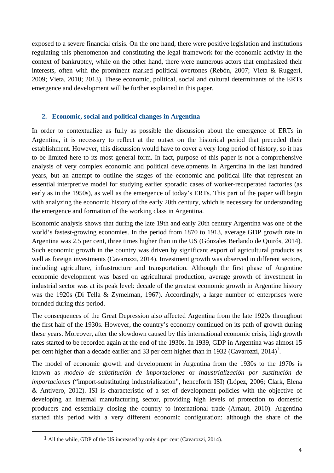exposed to a severe financial crisis. On the one hand, there were positive legislation and institutions regulating this phenomenon and constituting the legal framework for the economic activity in the context of bankruptcy, while on the other hand, there were numerous actors that emphasized their interests, often with the prominent marked political overtones (Rebón, 2007; Vieta & Ruggeri, 2009; Vieta, 2010; 2013). These economic, political, social and cultural determinants of the ERTs emergence and development will be further explained in this paper.

# **2. Economic, social and political changes in Argentina**

In order to contextualize as fully as possible the discussion about the emergence of ERTs in Argentina, it is necessary to reflect at the outset on the historical period that preceded their establishment. However, this discussion would have to cover a very long period of history, so it has to be limited here to its most general form. In fact, purpose of this paper is not a comprehensive analysis of very complex economic and political developments in Argentina in the last hundred years, but an attempt to outline the stages of the economic and political life that represent an essential interpretive model for studying earlier sporadic cases of worker-recuperated factories (as early as in the 1950s), as well as the emergence of today's ERTs. This part of the paper will begin with analyzing the economic history of the early 20th century, which is necessary for understanding the emergence and formation of the working class in Argentina.

Economic analysis shows that during the late 19th and early 20th century Argentina was one of the world's fastest-growing economies. In the period from 1870 to 1913, average GDP growth rate in Argentina was 2.5 per cent, three times higher than in the US (Gónzales Berlando de Quirós, 2014). Such economic growth in the country was driven by significant export of agricultural products as well as foreign investments (Cavarozzi, 2014). Investment growth was observed in different sectors, including agriculture, infrastructure and transportation. Although the first phase of Argentine economic development was based on agricultural production, average growth of investment in industrial sector was at its peak level: decade of the greatest economic growth in Argentine history was the 1920s (Di Tella & Zymelman, 1967). Accordingly, a large number of enterprises were founded during this period.

The consequences of the Great Depression also affected Argentina from the late 1920s throughout the first half of the 1930s. However, the country's economy continued on its path of growth during these years. Moreover, after the slowdown caused by this international economic crisis, high growth rates started to be recorded again at the end of the 1930s. In 1939, GDP in Argentina was almost 15 per cent higher than a decade earlier and 33 per cent higher than in 1932 (Cavarozzi, 2014)<sup>1</sup>.

The model of economic growth and development in Argentina from the 1930s to the 1970s is known as *modelo de substitución de importaciones* or *industrialización por sustitución de importaciones* ("import-substituting industrialization", henceforth ISI) (López, 2006; Clark, Elena & Antivero, 2012). ISI is characteristic of a set of development policies with the objective of developing an internal manufacturing sector, providing high levels of protection to domestic producers and essentially closing the country to international trade (Arnaut, 2010). Argentina started this period with a very different economic configuration: although the share of the

<sup>1</sup> All the while, GDP of the US increased by only 4 per cent (Cavarozzi, 2014).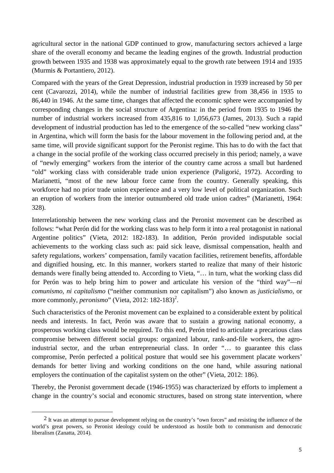agricultural sector in the national GDP continued to grow, manufacturing sectors achieved a large share of the overall economy and became the leading engines of the growth. Industrial production growth between 1935 and 1938 was approximately equal to the growth rate between 1914 and 1935 (Murmis & Portantiero, 2012).

Compared with the years of the Great Depression, industrial production in 1939 increased by 50 per cent (Cavarozzi, 2014), while the number of industrial facilities grew from 38,456 in 1935 to 86,440 in 1946. At the same time, changes that affected the economic sphere were accompanied by corresponding changes in the social structure of Argentina: in the period from 1935 to 1946 the number of industrial workers increased from 435,816 to 1,056,673 (James, 2013). Such a rapid development of industrial production has led to the emergence of the so-called "new working class" in Argentina, which will form the basis for the labour movement in the following period and, at the same time, will provide significant support for the Peronist regime. This has to do with the fact that a change in the social profile of the working class occurred precisely in this period; namely, a wave of "newly emerging" workers from the interior of the country came across a small but hardened "old" working class with considerable trade union experience (Paligorić, 1972). According to Marianetti, "most of the new labour force came from the country. Generally speaking, this workforce had no prior trade union experience and a very low level of political organization. Such an eruption of workers from the interior outnumbered old trade union cadres" (Marianetti, 1964: 328).

Interrelationship between the new working class and the Peronist movement can be described as follows: "what Perón did for the working class was to help form it into a real protagonist in national Argentine politics" (Vieta, 2012: 182-183). In addition, Perón provided indisputable social achievements to the working class such as: paid sick leave, dismissal compensation, health and safety regulations, workers' compensation, family vacation facilities, retirement benefits, affordable and dignified housing, etc. In this manner, workers started to realize that many of their historic demands were finally being attended to. According to Vieta, "… in turn, what the working class did for Perón was to help bring him to power and articulate his version of the "third way"—*ni comunismo, ni capitalismo* ("neither communism nor capitalism") also known as *justicialismo*, or more commonly, *peronismo*" (Vieta, 2012: 182-183)<sup>2</sup>.

Such characteristics of the Peronist movement can be explained to a considerable extent by political needs and interests. In fact, Perón was aware that to sustain a growing national economy, a prosperous working class would be required. To this end, Perón tried to articulate a precarious class compromise between different social groups: organized labour, rank-and-file workers, the agroindustrial sector, and the urban entrepreneurial class. In order "… to guarantee this class compromise, Perón perfected a political posture that would see his government placate workers' demands for better living and working conditions on the one hand, while assuring national employers the continuation of the capitalist system on the other" (Vieta, 2012: 186).

Thereby, the Peronist government decade (1946-1955) was characterized by efforts to implement a change in the country's social and economic structures, based on strong state intervention, where

<sup>&</sup>lt;sup>2</sup> It was an attempt to pursue development relying on the country's "own forces" and resisting the influence of the world's great powers, so Peronist ideology could be understood as hostile both to communism and democratic liberalism (Zanatta, 2014).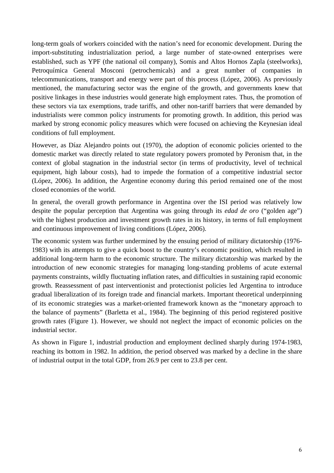long-term goals of workers coincided with the nation's need for economic development. During the import-substituting industrialization period, a large number of state-owned enterprises were established, such as YPF (the national oil company), Somis and Altos Hornos Zapla (steelworks), Petroquímica General Mosconi (petrochemicals) and a great number of companies in telecommunications, transport and energy were part of this process (López, 2006). As previously mentioned, the manufacturing sector was the engine of the growth, and governments knew that positive linkages in these industries would generate high employment rates. Thus, the promotion of these sectors via tax exemptions, trade tariffs, and other non-tariff barriers that were demanded by industrialists were common policy instruments for promoting growth. In addition, this period was marked by strong economic policy measures which were focused on achieving the Keynesian ideal conditions of full employment.

However, as Díaz Alejandro points out (1970), the adoption of economic policies oriented to the domestic market was directly related to state regulatory powers promoted by Peronism that, in the context of global stagnation in the industrial sector (in terms of productivity, level of technical equipment, high labour costs), had to impede the formation of a competitive industrial sector (López, 2006). In addition, the Argentine economy during this period remained one of the most closed economies of the world.

In general, the overall growth performance in Argentina over the ISI period was relatively low despite the popular perception that Argentina was going through its *edad de oro* ("golden age") with the highest production and investment growth rates in its history, in terms of full employment and continuous improvement of living conditions (López, 2006).

The economic system was further undermined by the ensuing period of military dictatorship (1976- 1983) with its attempts to give a quick boost to the country's economic position, which resulted in additional long-term harm to the economic structure. The military dictatorship was marked by the introduction of new economic strategies for managing long-standing problems of acute external payments constraints, wildly fluctuating inflation rates, and difficulties in sustaining rapid economic growth. Reassessment of past interventionist and protectionist policies led Argentina to introduce gradual liberalization of its foreign trade and financial markets. Important theoretical underpinning of its economic strategies was a market-oriented framework known as the "monetary approach to the balance of payments" (Barletta et al., 1984). The beginning of this period registered positive growth rates (Figure 1). However, we should not neglect the impact of economic policies on the industrial sector.

As shown in Figure 1, industrial production and employment declined sharply during 1974-1983, reaching its bottom in 1982. In addition, the period observed was marked by a decline in the share of industrial output in the total GDP, from 26.9 per cent to 23.8 per cent.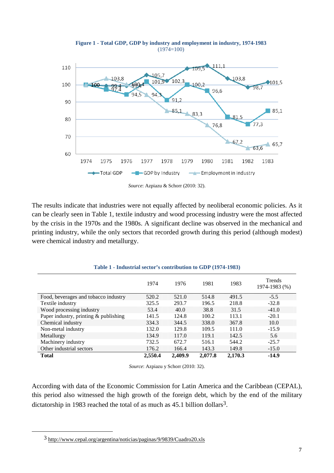

**Figure 1 - Total GDP, GDP by industry and employment in industry, 1974-1983**  (1974=100)

The results indicate that industries were not equally affected by neoliberal economic policies. As it can be clearly seen in Table 1, textile industry and wood processing industry were the most affected by the crisis in the 1970s and the 1980s. A significant decline was observed in the mechanical and printing industry, while the only sectors that recorded growth during this period (although modest) were chemical industry and metallurgy.

|                                         | 1974    | 1976    | 1981    | 1983    | Trends<br>1974-1983 (%) |
|-----------------------------------------|---------|---------|---------|---------|-------------------------|
| Food, beverages and tobacco industry    | 520.2   | 521.0   | 514.8   | 491.5   | $-5.5$                  |
| Textile industry                        | 325.5   | 293.7   | 196.5   | 218.8   | $-32.8$                 |
| Wood processing industry                | 53.4    | 40.0    | 38.8    | 31.5    | $-41.0$                 |
| Paper industry, printing $&$ publishing | 141.5   | 124.8   | 100.2   | 113.1   | $-20.1$                 |
| Chemical industry                       | 334.3   | 344.5   | 338.0   | 367.8   | 10.0                    |
| Non-metal industry                      | 132.0   | 129.8   | 109.5   | 111.0   | $-15.9$                 |
| Metallurgy                              | 134.9   | 117.0   | 119.1   | 142.5   | 5.6                     |
| Machinery industry                      | 732.5   | 672.7   | 516.1   | 544.2   | $-25.7$                 |
| Other industrial sectors                | 176.2   | 166.4   | 143.3   | 149.8   | $-15.0$                 |
| <b>Total</b>                            | 2,550.4 | 2,409.9 | 2,077.8 | 2,170.3 | $-14.9$                 |

| Table 1 - Industrial sector's contribution to GDP (1974-1983) |  |  |
|---------------------------------------------------------------|--|--|
|---------------------------------------------------------------|--|--|

*Source*: Azpiazu y Schorr (2010: 32).

According with data of the Economic Commission for Latin America and the Caribbean (CEPAL), this period also witnessed the high growth of the foreign debt, which by the end of the military dictatorship in 1983 reached the total of as much as 45.1 billion dollars<sup>3</sup>.

<sup>3</sup> http://www.cepal.org/argentina/noticias/paginas/9/9839/Cuadro20.xls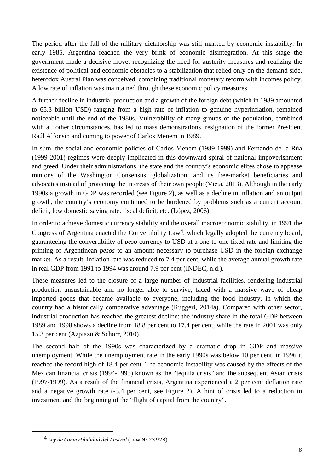The period after the fall of the military dictatorship was still marked by economic instability. In early 1985, Argentina reached the very brink of economic disintegration. At this stage the government made a decisive move: recognizing the need for austerity measures and realizing the existence of political and economic obstacles to a stabilization that relied only on the demand side, heterodox Austral Plan was conceived, combining traditional monetary reform with incomes policy. A low rate of inflation was maintained through these economic policy measures.

A further decline in industrial production and a growth of the foreign debt (which in 1989 amounted to 65.3 billion USD) ranging from a high rate of inflation to genuine hyperinflation, remained noticeable until the end of the 1980s. Vulnerability of many groups of the population, combined with all other circumstances, has led to mass demonstrations, resignation of the former President Raúl Alfonsín and coming to power of Carlos Menem in 1989.

In sum, the social and economic policies of Carlos Menem (1989-1999) and Fernando de la Rúa (1999-2001) regimes were deeply implicated in this downward spiral of national impoverishment and greed. Under their administrations, the state and the country's economic elites chose to appease minions of the Washington Consensus, globalization, and its free-market beneficiaries and advocates instead of protecting the interests of their own people (Vieta, 2013). Although in the early 1990s a growth in GDP was recorded (see Figure 2), as well as a decline in inflation and an output growth, the country's economy continued to be burdened by problems such as a current account deficit, low domestic saving rate, fiscal deficit, etc. (López, 2006).

In order to achieve domestic currency stability and the overall macroeconomic stability, in 1991 the Congress of Argentina enacted the Convertibility Law<sup>4</sup>, which legally adopted the currency board, guaranteeing the convertibility of *peso* currency to USD at a one-to-one fixed rate and limiting the printing of Argentinean *pesos* to an amount necessary to purchase USD in the foreign exchange market. As a result, inflation rate was reduced to 7.4 per cent, while the average annual growth rate in real GDP from 1991 to 1994 was around 7.9 per cent (INDEC, n.d.).

These measures led to the closure of a large number of industrial facilities, rendering industrial production unsustainable and no longer able to survive, faced with a massive wave of cheap imported goods that became available to everyone, including the food industry, in which the country had a historically comparative advantage (Ruggeri, 2014a). Compared with other sector, industrial production has reached the greatest decline: the industry share in the total GDP between 1989 and 1998 shows a decline from 18.8 per cent to 17.4 per cent, while the rate in 2001 was only 15.3 per cent (Azpiazu & Schorr, 2010).

The second half of the 1990s was characterized by a dramatic drop in GDP and massive unemployment. While the unemployment rate in the early 1990s was below 10 per cent, in 1996 it reached the record high of 18.4 per cent. The economic instability was caused by the effects of the Mexican financial crisis (1994-1995) known as the "tequila crisis" and the subsequent Asian crisis (1997-1999). As a result of the financial crisis, Argentina experienced a 2 per cent deflation rate and a negative growth rate (-3.4 per cent, see Figure 2). A hint of crisis led to a reduction in investment and the beginning of the "flight of capital from the country".

<sup>4</sup> *Ley de Convertibilidad del Austral* (Law Nº 23.928).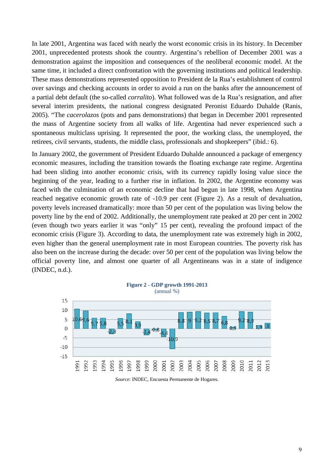In late 2001, Argentina was faced with nearly the worst economic crisis in its history. In December 2001, unprecedented protests shook the country. Argentina's rebellion of December 2001 was a demonstration against the imposition and consequences of the neoliberal economic model. At the same time, it included a direct confrontation with the governing institutions and political leadership. These mass demonstrations represented opposition to President de la Rua's establishment of control over savings and checking accounts in order to avoid a run on the banks after the announcement of a partial debt default (the so-called *corralito*). What followed was de la Rua's resignation, and after several interim presidents, the national congress designated Peronist Eduardo Duhalde (Ranis, 2005). "The *cacerolazos* (pots and pans demonstrations) that began in December 2001 represented the mass of Argentine society from all walks of life. Argentina had never experienced such a spontaneous multiclass uprising. It represented the poor, the working class, the unemployed, the retirees, civil servants, students, the middle class, professionals and shopkeepers" (ibid.: 6).

In January 2002, the government of President Eduardo Duhalde announced a package of emergency economic measures, including the transition towards the floating exchange rate regime. Argentina had been sliding into another economic crisis, with its currency rapidly losing value since the beginning of the year, leading to a further rise in inflation. In 2002, the Argentine economy was faced with the culmination of an economic decline that had begun in late 1998, when Argentina reached negative economic growth rate of -10.9 per cent (Figure 2). As a result of devaluation, poverty levels increased dramatically: more than 50 per cent of the population was living below the poverty line by the end of 2002. Additionally, the unemployment rate peaked at 20 per cent in 2002 (even though two years earlier it was "only" 15 per cent), revealing the profound impact of the economic crisis (Figure 3). According to data, the unemployment rate was extremely high in 2002, even higher than the general unemployment rate in most European countries. The poverty risk has also been on the increase during the decade: over 50 per cent of the population was living below the official poverty line, and almost one quarter of all Argentineans was in a state of indigence (INDEC, n.d.).



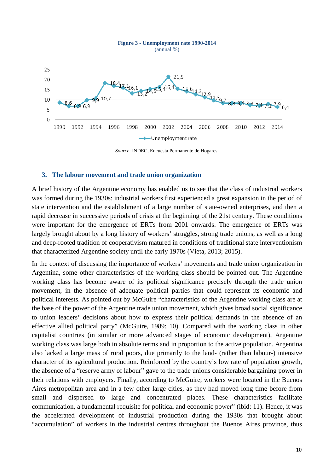

*Source*: INDEC, Encuesta Permanente de Hogares.

## **3. The labour movement and trade union organization**

A brief history of the Argentine economy has enabled us to see that the class of industrial workers was formed during the 1930s: industrial workers first experienced a great expansion in the period of state intervention and the establishment of a large number of state-owned enterprises, and then a rapid decrease in successive periods of crisis at the beginning of the 21st century. These conditions were important for the emergence of ERTs from 2001 onwards. The emergence of ERTs was largely brought about by a long history of workers' struggles, strong trade unions, as well as a long and deep-rooted tradition of cooperativism matured in conditions of traditional state interventionism that characterized Argentine society until the early 1970s (Vieta, 2013; 2015).

In the context of discussing the importance of workers' movements and trade union organization in Argentina, some other characteristics of the working class should be pointed out. The Argentine working class has become aware of its political significance precisely through the trade union movement, in the absence of adequate political parties that could represent its economic and political interests. As pointed out by McGuire "characteristics of the Argentine working class are at the base of the power of the Argentine trade union movement, which gives broad social significance to union leaders' decisions about how to express their political demands in the absence of an effective allied political party" (McGuire, 1989: 10). Compared with the working class in other capitalist countries (in similar or more advanced stages of economic development), Argentine working class was large both in absolute terms and in proportion to the active population. Argentina also lacked a large mass of rural poors, due primarily to the land- (rather than labour-) intensive character of its agricultural production. Reinforced by the country's low rate of population growth, the absence of a "reserve army of labour" gave to the trade unions considerable bargaining power in their relations with employers. Finally, according to McGuire, workers were located in the Buenos Aires metropolitan area and in a few other large cities, as they had moved long time before from small and dispersed to large and concentrated places. These characteristics facilitate communication, a fundamental requisite for political and economic power" (ibid: 11). Hence, it was the accelerated development of industrial production during the 1930s that brought about "accumulation" of workers in the industrial centres throughout the Buenos Aires province, thus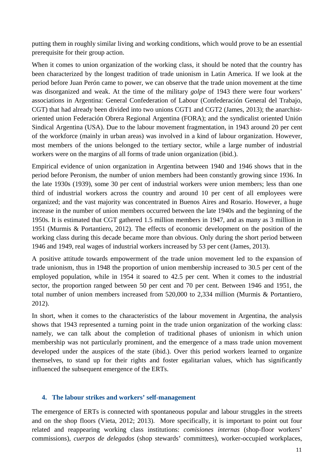putting them in roughly similar living and working conditions, which would prove to be an essential prerequisite for their group action.

When it comes to union organization of the working class, it should be noted that the country has been characterized by the longest tradition of trade unionism in Latin America. If we look at the period before Juan Perón came to power, we can observe that the trade union movement at the time was disorganized and weak. At the time of the military *golpe* of 1943 there were four workers' associations in Argentina: General Confederation of Labour (Confederación General del Trabajo, CGT) that had already been divided into two unions CGT1 and CGT2 (James, 2013); the anarchistoriented union Federación Obrera Regional Argentina (FORA); and the syndicalist oriented Unión Sindical Argentina (USA). Due to the labour movement fragmentation, in 1943 around 20 per cent of the workforce (mainly in urban areas) was involved in a kind of labour organization. However, most members of the unions belonged to the tertiary sector, while a large number of industrial workers were on the margins of all forms of trade union organization (ibid.).

Empirical evidence of union organization in Argentina between 1940 and 1946 shows that in the period before Peronism, the number of union members had been constantly growing since 1936. In the late 1930s (1939), some 30 per cent of industrial workers were union members; less than one third of industrial workers across the country and around 10 per cent of all employees were organized; and the vast majority was concentrated in Buenos Aires and Rosario. However, a huge increase in the number of union members occurred between the late 1940s and the beginning of the 1950s. It is estimated that CGT gathered 1.5 million members in 1947, and as many as 3 million in 1951 (Murmis & Portantiero, 2012). The effects of economic development on the position of the working class during this decade became more than obvious. Only during the short period between 1946 and 1949, real wages of industrial workers increased by 53 per cent (James, 2013).

A positive attitude towards empowerment of the trade union movement led to the expansion of trade unionism, thus in 1948 the proportion of union membership increased to 30.5 per cent of the employed population, while in 1954 it soared to 42.5 per cent. When it comes to the industrial sector, the proportion ranged between 50 per cent and 70 per cent. Between 1946 and 1951, the total number of union members increased from 520,000 to 2,334 million (Murmis & Portantiero, 2012).

In short, when it comes to the characteristics of the labour movement in Argentina, the analysis shows that 1943 represented a turning point in the trade union organization of the working class: namely, we can talk about the completion of traditional phases of unionism in which union membership was not particularly prominent, and the emergence of a mass trade union movement developed under the auspices of the state (ibid.). Over this period workers learned to organize themselves, to stand up for their rights and foster egalitarian values, which has significantly influenced the subsequent emergence of the ERTs.

# **4. The labour strikes and workers' self-management**

The emergence of ERTs is connected with spontaneous popular and labour struggles in the streets and on the shop floors (Vieta, 2012; 2013). More specifically, it is important to point out four related and reappearing working class institutions: *comisiones internas* (shop-floor workers' commissions), *cuerpos de delegados* (shop stewards' committees), worker-occupied workplaces,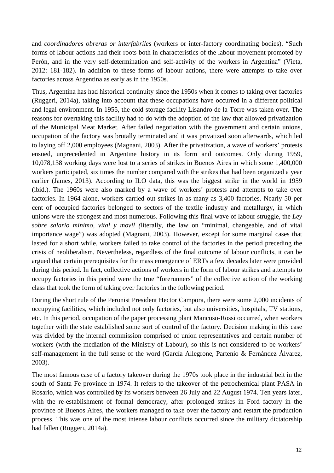and *coordinadores obreras or interfabriles* (workers or inter-factory coordinating bodies). "Such forms of labour actions had their roots both in characteristics of the labour movement promoted by Perón, and in the very self-determination and self-activity of the workers in Argentina" (Vieta, 2012: 181-182). In addition to these forms of labour actions, there were attempts to take over factories across Argentina as early as in the 1950s.

Thus, Argentina has had historical continuity since the 1950s when it comes to taking over factories (Ruggeri, 2014a), taking into account that these occupations have occurred in a different political and legal environment. In 1955, the cold storage facility Lisandro de la Torre was taken over. The reasons for overtaking this facility had to do with the adoption of the law that allowed privatization of the Municipal Meat Market. After failed negotiation with the government and certain unions, occupation of the factory was brutally terminated and it was privatized soon afterwards, which led to laying off 2,000 employees (Magnani, 2003). After the privatization, a wave of workers' protests ensued, unprecedented in Argentine history in its form and outcomes. Only during 1959, 10,078,138 working days were lost to a series of strikes in Buenos Aires in which some 1,400,000 workers participated, six times the number compared with the strikes that had been organized a year earlier (James, 2013). According to ILO data, this was the biggest strike in the world in 1959 (ibid.). The 1960s were also marked by a wave of workers' protests and attempts to take over factories. In 1964 alone, workers carried out strikes in as many as 3,400 factories. Nearly 50 per cent of occupied factories belonged to sectors of the textile industry and metallurgy, in which unions were the strongest and most numerous. Following this final wave of labour struggle, the *Ley sobre salario minimo, vital y movil (*literally, the law on "minimal, changeable, and of vital importance wage") was adopted (Magnani, 2003). However, except for some marginal cases that lasted for a short while, workers failed to take control of the factories in the period preceding the crisis of neoliberalism. Nevertheless, regardless of the final outcome of labour conflicts, it can be argued that certain prerequisites for the mass emergence of ERTs a few decades later were provided during this period. In fact, collective actions of workers in the form of labour strikes and attempts to occupy factories in this period were the true "forerunners" of the collective action of the working class that took the form of taking over factories in the following period.

During the short rule of the Peronist President Hector Campora, there were some 2,000 incidents of occupying facilities, which included not only factories, but also universities, hospitals, TV stations, etc. In this period, occupation of the paper processing plant Mancuso-Rossi occurred, when workers together with the state established some sort of control of the factory. Decision making in this case was divided by the internal commission comprised of union representatives and certain number of workers (with the mediation of the Ministry of Labour), so this is not considered to be workers' self-management in the full sense of the word (García Allegrone, Partenio & Fernández Álvarez, 2003).

The most famous case of a factory takeover during the 1970s took place in the industrial belt in the south of Santa Fe province in 1974. It refers to the takeover of the petrochemical plant PASA in Rosario, which was controlled by its workers between 26 July and 22 August 1974. Ten years later, with the re-establishment of formal democracy, after prolonged strikes in Ford factory in the province of Buenos Aires, the workers managed to take over the factory and restart the production process. This was one of the most intense labour conflicts occurred since the military dictatorship had fallen (Ruggeri, 2014a).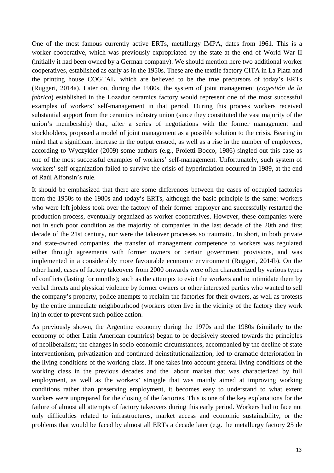One of the most famous currently active ERTs, metallurgy IMPA, dates from 1961. This is a worker cooperative, which was previously expropriated by the state at the end of World War II (initially it had been owned by a German company). We should mention here two additional worker cooperatives, established as early as in the 1950s. These are the textile factory CITA in La Plata and the printing house COGTAL, which are believed to be the true precursors of today's ERTs (Ruggeri, 2014a). Later on, during the 1980s, the system of joint management (*cogestión de la fabrica*) established in the Lozadur ceramics factory would represent one of the most successful examples of workers' self-management in that period. During this process workers received substantial support from the ceramics industry union (since they constituted the vast majority of the union's membership) that, after a series of negotiations with the former management and stockholders, proposed a model of joint management as a possible solution to the crisis. Bearing in mind that a significant increase in the output ensued, as well as a rise in the number of employees, according to Wyczykier (2009) some authors (e.g., Proietti-Bocco, 1986) singled out this case as one of the most successful examples of workers' self**-**management. Unfortunately, such system of workers' self-organization failed to survive the crisis of hyperinflation occurred in 1989, at the end of Raúl Alfonsín's rule.

It should be emphasized that there are some differences between the cases of occupied factories from the 1950s to the 1980s and today's ERTs, although the basic principle is the same: workers who were left jobless took over the factory of their former employer and successfully restarted the production process, eventually organized as worker cooperatives. However, these companies were not in such poor condition as the majority of companies in the last decade of the 20th and first decade of the 21st century, nor were the takeover processes so traumatic. In short, in both private and state-owned companies, the transfer of management competence to workers was regulated either through agreements with former owners or certain government provisions, and was implemented in a considerably more favourable economic environment (Ruggeri, 2014b). On the other hand, cases of factory takeovers from 2000 onwards were often characterized by various types of conflicts (lasting for months); such as the attempts to evict the workers and to intimidate them by verbal threats and physical violence by former owners or other interested parties who wanted to sell the company's property, police attempts to reclaim the factories for their owners, as well as protests by the entire immediate neighbourhood (workers often live in the vicinity of the factory they work in) in order to prevent such police action.

As previously shown, the Argentine economy during the 1970s and the 1980s (similarly to the economy of other Latin American countries) began to be decisively steered towards the principles of neoliberalism; the changes in socio**-**economic circumstances, accompanied by the decline of state interventionism, privatization and continued deinstitutionalization, led to dramatic deterioration in the living conditions of the working class. If one takes into account general living conditions of the working class in the previous decades and the labour market that was characterized by full employment, as well as the workers' struggle that was mainly aimed at improving working conditions rather than preserving employment, it becomes easy to understand to what extent workers were unprepared for the closing of the factories. This is one of the key explanations for the failure of almost all attempts of factory takeovers during this early period. Workers had to face not only difficulties related to infrastructures, market access and economic sustainability, or the problems that would be faced by almost all ERTs a decade later (e.g. the metallurgy factory 25 de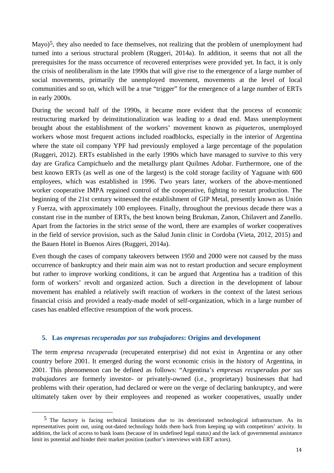Mayo)<sup>5</sup>, they also needed to face themselves, not realizing that the problem of unemployment had turned into a serious structural problem (Ruggeri, 2014a). In addition, it seems that not all the prerequisites for the mass occurrence of recovered enterprises were provided yet. In fact, it is only the crisis of neoliberalism in the late 1990s that will give rise to the emergence of a large number of social movements, primarily the unemployed movement, movements at the level of local communities and so on, which will be a true "trigger" for the emergence of a large number of ERTs in early 2000s.

During the second half of the 1990s, it became more evident that the process of economic restructuring marked by deinstitutionalization was leading to a dead end. Mass unemployment brought about the establishment of the workers' movement known as *piqueteros,* unemployed workers whose most frequent actions included roadblocks, especially in the interior of Argentina where the state oil company YPF had previously employed a large percentage of the population (Ruggeri, 2012). ERTs established in the early 1990s which have managed to survive to this very day are Grafica Campichuelo and the metallurgy plant Quilmes Adobar. Furthermore, one of the best known ERTs (as well as one of the largest) is the cold storage facility of Yaguane with 600 employees, which was established in 1996. Two years later, workers of the above-mentioned worker cooperative IMPA regained control of the cooperative, fighting to restart production. The beginning of the 21st century witnessed the establishment of GIP Metal, presently known as Unión y Fuerza, with approximately 100 employees. Finally, throughout the previous decade there was a constant rise in the number of ERTs, the best known being Brukman, Zanon, Chilavert and Zanello. Apart from the factories in the strict sense of the word, there are examples of worker cooperatives in the field of service provision, such as the Salud Junin clinic in Cordoba (Vieta, 2012, 2015) and the Bauen Hotel in Buenos Aires (Ruggeri, 2014a).

Even though the cases of company takeovers between 1950 and 2000 were not caused by the mass occurrence of bankruptcy and their main aim was not to restart production and secure employment but rather to improve working conditions, it can be argued that Argentina has a tradition of this form of workers' revolt and organized action. Such a direction in the development of labour movement has enabled a relatively swift reaction of workers in the context of the latest serious financial crisis and provided a ready-made model of self-organization, which in a large number of cases has enabled effective resumption of the work process.

## **5. Las** *empresas recuperadas por sus trabajadores***: Origins and development**

 $\overline{a}$ 

The term *empresa recuperada* (recuperated enterprise) did not exist in Argentina or any other country before 2001. It emerged during the worst economic crisis in the history of Argentina, in 2001. This phenomenon can be defined as follows: "Argentina's *empresas recuperadas por sus trabajadores* are formerly investor- or privately-owned (i.e., proprietary) businesses that had problems with their operation, had declared or were on the verge of declaring bankruptcy, and were ultimately taken over by their employees and reopened as worker cooperatives, usually under

<sup>5</sup> The factory is facing technical limitations due to its deteriorated technological infrastructure. As its representatives point out, using out-dated technology holds them back from keeping up with competitors' activity. In addition, the lack of access to bank loans (because of its undefined legal status) and the lack of governmental assistance limit its potential and hinder their market position (author's interviews with ERT actors).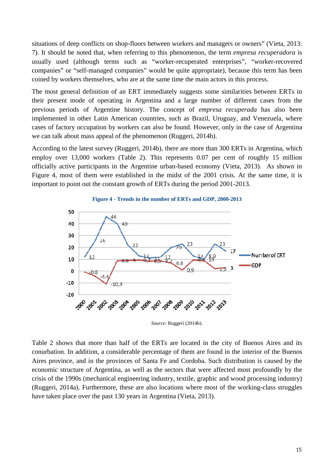situations of deep conflicts on shop-floors between workers and managers or owners" (Vieta, 2013: 7). It should be noted that, when referring to this phenomenon, the term *empresa recuperadora* is usually used (although terms such as "worker-recuperated enterprises", "worker-recovered companies" or "self-managed companies" would be quite appropriate), because this term has been coined by workers themselves, who are at the same time the main actors in this process.

The most general definition of an ERT immediately suggests some similarities between ERTs in their present mode of operating in Argentina and a large number of different cases from the previous periods of Argentine history. The concept of *empresa recuperada* has also been implemented in other Latin American countries, such as Brazil, Uruguay, and Venezuela, where cases of factory occupation by workers can also be found. However, only in the case of Argentina we can talk about mass appeal of the phenomenon (Ruggeri, 2014b).

According to the latest survey (Ruggeri, 2014b), there are more than 300 ERTs in Argentina, which employ over 13,000 workers (Table 2). This represents 0.07 per cent of roughly 15 million officially active participants in the Argentine urban-based economy (Vieta, 2013). As shown in Figure 4, most of them were established in the midst of the 2001 crisis. At the same time, it is important to point out the constant growth of ERTs during the period 2001-2013.



#### **Figure 4 - Trends in the number of ERTs and GDP, 2000-2013**

*Source*: Ruggeri (2014b).

Table 2 shows that more than half of the ERTs are located in the city of Buenos Aires and its conurbation. In addition, a considerable percentage of them are found in the interior of the Buenos Aires province, and in the provinces of Santa Fe and Cordoba. Such distribution is caused by the economic structure of Argentina, as well as the sectors that were affected most profoundly by the crisis of the 1990s (mechanical engineering industry, textile, graphic and wood processing industry) (Ruggeri, 2014a). Furthermore, these are also locations where most of the working-class struggles have taken place over the past 130 years in Argentina (Vieta, 2013).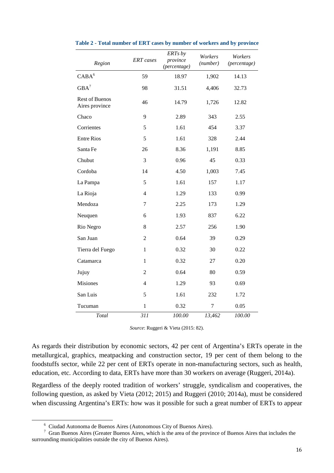| Region                                  | <b>ERT</b> cases  | ERTs by<br>province<br>(percentage) | Workers<br>(number) | Workers<br>(percentage) |  |
|-----------------------------------------|-------------------|-------------------------------------|---------------------|-------------------------|--|
| $CABA^6$                                | 59                | 18.97                               | 1,902               | 14.13                   |  |
| $GBA^7$                                 | 98                | 31.51                               | 4,406               | 32.73                   |  |
| <b>Rest of Buenos</b><br>Aires province | 46                | 14.79                               | 1,726               | 12.82                   |  |
| Chaco                                   | 9                 | 2.89                                | 343                 | 2.55                    |  |
| Corrientes                              | 5                 | 1.61                                | 454                 | 3.37                    |  |
| <b>Entre Rios</b>                       | 5                 | 1.61                                | 328                 | 2.44                    |  |
| Santa Fe                                | 26                | 8.36                                | 1,191               | 8.85                    |  |
| Chubut                                  | 3                 | 0.96                                | 45                  | 0.33                    |  |
| Cordoba                                 | 14                | 4.50                                | 1,003               | 7.45                    |  |
| La Pampa                                | 5                 | 1.61                                | 157                 | 1.17                    |  |
| La Rioja                                | 4                 | 1.29                                | 133                 | 0.99                    |  |
| Mendoza                                 | 7                 | 2.25                                | 173                 | 1.29                    |  |
| Neuquen                                 | 6                 | 1.93                                | 837                 | 6.22                    |  |
| Rio Negro                               | 8                 | 2.57                                | 256                 | 1.90                    |  |
| San Juan                                | $\overline{2}$    | 0.64                                | 39                  | 0.29                    |  |
| Tierra del Fuego                        | $\mathbf{1}$      | 0.32                                | 30                  | 0.22                    |  |
| Catamarca                               | 1                 | 0.32                                | 27                  | 0.20                    |  |
| Jujuy                                   | $\overline{2}$    | 0.64                                | 80                  | 0.59                    |  |
| <b>Misiones</b>                         | $\overline{4}$    | 1.29                                | 93                  | 0.69                    |  |
| San Luis                                | 5                 | 1.61                                | 232                 | 1.72                    |  |
| Tucuman                                 | $\mathbf{1}$      | 0.32                                | $\tau$              | 0.05                    |  |
| Total                                   | $\overline{3}$ 11 | 100.00                              | 13,462              | 100.00                  |  |

|  |  |  |  | Table 2 - Total number of ERT cases by number of workers and by province |
|--|--|--|--|--------------------------------------------------------------------------|
|  |  |  |  |                                                                          |

*Source*: Ruggeri & Vieta (2015: 82).

As regards their distribution by economic sectors, 42 per cent of Argentina's ERTs operate in the metallurgical, graphics, meatpacking and construction sector, 19 per cent of them belong to the foodstuffs sector, while 22 per cent of ERTs operate in non-manufacturing sectors, such as health, education, etc. According to data, ERTs have more than 30 workers on average (Ruggeri, 2014a).

Regardless of the deeply rooted tradition of workers' struggle, syndicalism and cooperatives, the following question, as asked by Vieta (2012; 2015) and Ruggeri (2010; 2014a), must be considered when discussing Argentina's ERTs: how was it possible for such a great number of ERTs to appear

<sup>6</sup> Ciudad Autonoma de Buenos Aires (Autonomous City of Buenos Aires).

 $7$  Gran Buenos Aires (Greater Buenos Aires, which is the area of the province of Buenos Aires that includes the surrounding municipalities outside the city of Buenos Aires).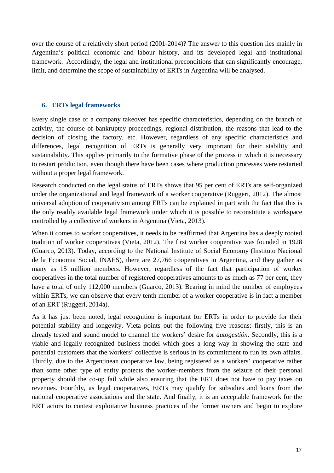over the course of a relatively short period (2001-2014)? The answer to this question lies mainly in Argentina's political economic and labour history, and its developed legal and institutional framework. Accordingly, the legal and institutional preconditions that can significantly encourage, limit, and determine the scope of sustainability of ERTs in Argentina will be analysed.

# **6. ERTs legal frameworks**

Every single case of a company takeover has specific characteristics, depending on the branch of activity, the course of bankruptcy proceedings, regional distribution, the reasons that lead to the decision of closing the factory, etc. However, regardless of any specific characteristics and differences, legal recognition of ERTs is generally very important for their stability and sustainability. This applies primarily to the formative phase of the process in which it is necessary to restart production, even though there have been cases where production processes were restarted without a proper legal framework.

Research conducted on the legal status of ERTs shows that 95 per cent of ERTs are self-organized under the organizational and legal framework of a worker cooperative (Ruggeri, 2012). The almost universal adoption of cooperativism among ERTs can be explained in part with the fact that this is the only readily available legal framework under which it is possible to reconstitute a workspace controlled by a collective of workers in Argentina (Vieta, 2013).

When it comes to worker cooperatives, it needs to be reaffirmed that Argentina has a deeply rooted tradition of worker cooperatives (Vieta, 2012). The first worker cooperative was founded in 1928 (Guarco, 2013). Today, according to the National Institute of Social Economy (Instituto Nacional de la Economia Social, INAES), there are 27,766 cooperatives in Argentina, and they gather as many as 15 million members. However, regardless of the fact that participation of worker cooperatives in the total number of registered cooperatives amounts to as much as 77 per cent, they have a total of only 112,000 members (Guarco, 2013). Bearing in mind the number of employees within ERTs, we can observe that every tenth member of a worker cooperative is in fact a member of an ERT (Ruggeri, 2014a).

As it has just been noted, legal recognition is important for ERTs in order to provide for their potential stability and longevity. Vieta points out the following five reasons: firstly, this is an already tested and sound model to channel the workers' desire for *autogestión*. Secondly, this is a viable and legally recognized business model which goes a long way in showing the state and potential customers that the workers' collective is serious in its commitment to run its own affairs. Thirdly, due to the Argentinean cooperative law, being registered as a workers' cooperative rather than some other type of entity protects the worker-members from the seizure of their personal property should the co-op fail while also ensuring that the ERT does not have to pay taxes on revenues. Fourthly, as legal cooperatives, ERTs may qualify for subsidies and loans from the national cooperative associations and the state. And finally, it is an acceptable framework for the ERT actors to contest exploitative business practices of the former owners and begin to explore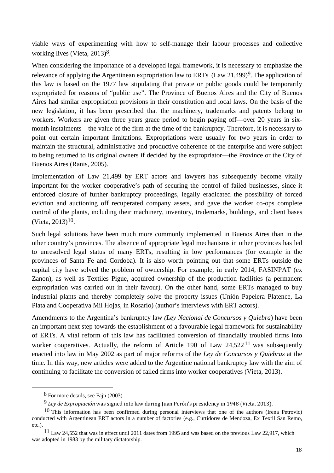viable ways of experimenting with how to self-manage their labour processes and collective working lives (Vieta, 2013)<sup>8</sup>.

When considering the importance of a developed legal framework, it is necessary to emphasize the relevance of applying the Argentinean expropriation law to ERTs (Law 21,499)<sup>9</sup>. The application of this law is based on the 1977 law stipulating that private or public goods could be temporarily expropriated for reasons of "public use". The Province of Buenos Aires and the City of Buenos Aires had similar expropriation provisions in their constitution and local laws. On the basis of the new legislation, it has been prescribed that the machinery, trademarks and patents belong to workers. Workers are given three years grace period to begin paying off—over 20 years in sixmonth instalments—the value of the firm at the time of the bankruptcy. Therefore, it is necessary to point out certain important limitations. Expropriations were usually for two years in order to maintain the structural, administrative and productive coherence of the enterprise and were subject to being returned to its original owners if decided by the expropriator—the Province or the City of Buenos Aires (Ranis, 2005).

Implementation of Law 21,499 by ERT actors and lawyers has subsequently become vitally important for the worker cooperative's path of securing the control of failed businesses, since it enforced closure of further bankruptcy proceedings, legally eradicated the possibility of forced eviction and auctioning off recuperated company assets, and gave the worker co-ops complete control of the plants, including their machinery, inventory, trademarks, buildings, and client bases  $(Vieta, 2013)^{10}$ .

Such legal solutions have been much more commonly implemented in Buenos Aires than in the other country's provinces. The absence of appropriate legal mechanisms in other provinces has led to unresolved legal status of many ERTs, resulting in low performances (for example in the provinces of Santa Fe and Cordoba). It is also worth pointing out that some ERTs outside the capital city have solved the problem of ownership. For example, in early 2014, FASINPAT (ex Zanon), as well as Textiles Pigue, acquired ownership of the production facilities (a permanent expropriation was carried out in their favour). On the other hand, some ERTs managed to buy industrial plants and thereby completely solve the property issues (Unión Papelera Platence, La Plata and Cooperativa Mil Hojas, in Rosario) (author's interviews with ERT actors).

Amendments to the Argentina's bankruptcy law *(Ley Nacional de Concursos y Quiebra*) have been an important next step towards the establishment of a favourable legal framework for sustainability of ERTs. A vital reform of this law has facilitated conversion of financially troubled firms into worker cooperatives. Actually, the reform of Article 190 of Law  $24.522^{11}$  was subsequently enacted into law in May 2002 as part of major reforms of the *Ley de Concursos y Quiebras* at the time. In this way, new articles were added to the Argentine national bankruptcy law with the aim of continuing to facilitate the conversion of failed firms into worker cooperatives (Vieta, 2013).

<sup>8</sup> For more details, see Fajn (2003).

<sup>9</sup> *Ley de Expropiación* was signed into law during Juan Perón's presidency in 1948 (Vieta, 2013).

<sup>10</sup> This information has been confirmed during personal interviews that one of the authors (Irena Petrovic) conducted with Argentinean ERT actors in a number of factories (e.g., Curtidores de Mendoza, Ex Textil San Remo, etc.).

<sup>11</sup> Law 24,552 that was in effect until 2011 dates from 1995 and was based on the previous Law 22,917, which was adopted in 1983 by the military dictatorship.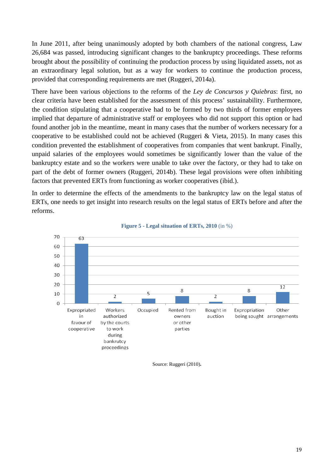In June 2011, after being unanimously adopted by both chambers of the national congress, Law 26,684 was passed, introducing significant changes to the bankruptcy proceedings. These reforms brought about the possibility of continuing the production process by using liquidated assets, not as an extraordinary legal solution, but as a way for workers to continue the production process, provided that corresponding requirements are met (Ruggeri, 2014a).

There have been various objections to the reforms of the *Ley de Concursos y Quiebras*: first, no clear criteria have been established for the assessment of this process' sustainability. Furthermore, the condition stipulating that a cooperative had to be formed by two thirds of former employees implied that departure of administrative staff or employees who did not support this option or had found another job in the meantime, meant in many cases that the number of workers necessary for a cooperative to be established could not be achieved (Ruggeri & Vieta, 2015). In many cases this condition prevented the establishment of cooperatives from companies that went bankrupt. Finally, unpaid salaries of the employees would sometimes be significantly lower than the value of the bankruptcy estate and so the workers were unable to take over the factory, or they had to take on part of the debt of former owners (Ruggeri, 2014b). These legal provisions were often inhibiting factors that prevented ERTs from functioning as worker cooperatives (ibid.).

In order to determine the effects of the amendments to the bankruptcy law on the legal status of ERTs, one needs to get insight into research results on the legal status of ERTs before and after the reforms.





Source: Ruggeri (2010)**.**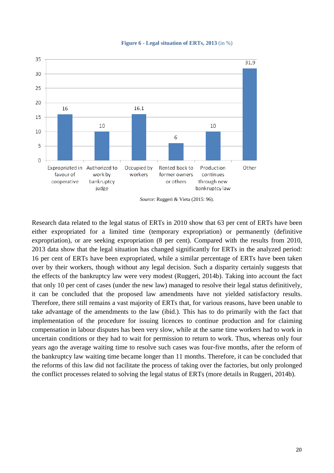

#### **Figure 6 - Legal situation of ERTs, 2013** (in %)

Research data related to the legal status of ERTs in 2010 show that 63 per cent of ERTs have been either expropriated for a limited time (temporary expropriation) or permanently (definitive expropriation), or are seeking expropriation (8 per cent). Compared with the results from 2010, 2013 data show that the legal situation has changed significantly for ERTs in the analyzed period: 16 per cent of ERTs have been expropriated, while a similar percentage of ERTs have been taken over by their workers, though without any legal decision. Such a disparity certainly suggests that the effects of the bankruptcy law were very modest (Ruggeri, 2014b). Taking into account the fact that only 10 per cent of cases (under the new law) managed to resolve their legal status definitively, it can be concluded that the proposed law amendments have not yielded satisfactory results. Therefore, there still remains a vast majority of ERTs that, for various reasons, have been unable to take advantage of the amendments to the law (ibid.). This has to do primarily with the fact that implementation of the procedure for issuing licences to continue production and for claiming compensation in labour disputes has been very slow, while at the same time workers had to work in uncertain conditions or they had to wait for permission to return to work. Thus, whereas only four years ago the average waiting time to resolve such cases was four-five months, after the reform of the bankruptcy law waiting time became longer than 11 months. Therefore, it can be concluded that the reforms of this law did not facilitate the process of taking over the factories, but only prolonged the conflict processes related to solving the legal status of ERTs (more details in Ruggeri, 2014b).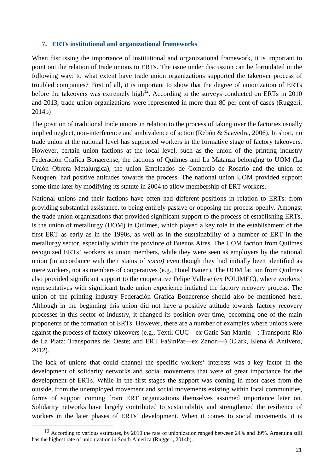## **7. ERTs institutional and organizational frameworks**

When discussing the importance of institutional and organizational framework, it is important to point out the relation of trade unions to ERTs. The issue under discussion can be formulated in the following way: to what extent have trade union organizations supported the takeover process of troubled companies? First of all, it is important to show that the degree of unionization of ERTs before the takeovers was extremely high<sup>12</sup>. According to the surveys conducted on ERTs in 2010 and 2013, trade union organizations were represented in more than 80 per cent of cases (Ruggeri, 2014b)

The position of traditional trade unions in relation to the process of taking over the factories usually implied neglect, non-interference and ambivalence of action (Rebón & Saavedra, 2006). In short, no trade union at the national level has supported workers in the formative stage of factory takeovers. However, certain union factions at the local level, such as the union of the printing industry Federación Grafica Bonaerense, the factions of Quilmes and La Matanza belonging to UOM (La Unión Obrera Metalurgica), the union Empleados de Comercio de Rosario and the union of Neuquen, had positive attitudes towards the process. The national union UOM provided support some time later by modifying its statute in 2004 to allow membership of ERT workers.

National unions and their factions have often had different positions in relation to ERTs: from providing substantial assistance, to being entirely passive or opposing the process openly. Amongst the trade union organizations that provided significant support to the process of establishing ERTs, is the union of metallurgy (UOM) in Quilmes, which played a key role in the establishment of the first ERT as early as in the 1990s, as well as in the sustainability of a number of ERT in the metallurgy sector, especially within the province of Buenos Aires. The UOM faction from Quilmes recognized ERTs' workers as union members, while they were seen as employers by the national union (in accordance with their status of *socio)* even though they had initially been identified as mere workers, not as members of cooperatives (e.g., Hotel Bauen). The UOM faction from Quilmes also provided significant support to the cooperative Felipe Vallese (ex POLIMEC), where workers' representatives with significant trade union experience initiated the factory recovery process. The union of the printing industry Federación Grafica Bonaerense should also be mentioned here. Although in the beginning this union did not have a positive attitude towards factory recovery processes in this sector of industry, it changed its position over time, becoming one of the main proponents of the formation of ERTs. However, there are a number of examples where unions were against the process of factory takeovers (e.g., Textil CUC—ex Gatic San Martin—; Transporte Rio de La Plata; Transportes del Oeste; and ERT FaSinPat—ex Zanon—) (Clark, Elena & Antivero, 2012).

The lack of unions that could channel the specific workers' interests was a key factor in the development of solidarity networks and social movements that were of great importance for the development of ERTs. While in the first stages the support was coming in most cases from the outside, from the unemployed movement and social movements existing within local communities, forms of support coming from ERT organizations themselves assumed importance later on. Solidarity networks have largely contributed to sustainability and strengthened the resilience of workers in the later phases of ERTs' development. When it comes to social movements, it is

<sup>&</sup>lt;sup>12</sup> According to various estimates, by 2010 the rate of unionization ranged between 24% and 39%. Argentina still has the highest rate of unionization in South America (Ruggeri, 2014b).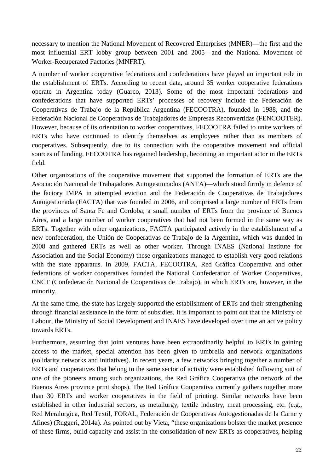necessary to mention the National Movement of Recovered Enterprises (MNER)—the first and the most influential ERT lobby group between 2001 and 2005—and the National Movement of Worker-Recuperated Factories (MNFRT).

A number of worker cooperative federations and confederations have played an important role in the establishment of ERTs. According to recent data, around 35 worker cooperative federations operate in Argentina today (Guarco, 2013). Some of the most important federations and confederations that have supported ERTs' processes of recovery include the Federación de Cooperativas de Trabajo de la República Argentina (FECOOTRA), founded in 1988, and the Federación Nacional de Cooperativas de Trabajadores de Empresas Reconvertidas (FENCOOTER). However, because of its orientation to worker cooperatives, FECOOTRA failed to unite workers of ERTs who have continued to identify themselves as employees rather than as members of cooperatives. Subsequently, due to its connection with the cooperative movement and official sources of funding, FECOOTRA has regained leadership, becoming an important actor in the ERTs field.

Other organizations of the cooperative movement that supported the formation of ERTs are the Asociación Nacional de Trabajadores Autogestionados (ANTA)—which stood firmly in defence of the factory IMPA in attempted eviction and the Federación de Cooperativas de Trabajadores Autogestionada (FACTA) that was founded in 2006, and comprised a large number of ERTs from the provinces of Santa Fe and Cordoba, a small number of ERTs from the province of Buenos Aires, and a large number of worker cooperatives that had not been formed in the same way as ERTs. Together with other organizations, FACTA participated actively in the establishment of a new confederation, the Unión de Cooperativas de Trabajo de la Argentina, which was dunded in 2008 and gathered ERTs as well as other worker. Through INAES (National Institute for Association and the Social Economy) these organizations managed to establish very good relations with the state apparatus. In 2009, FACTA, FECOOTRA, Red Gráfica Cooperativa and other federations of worker cooperatives founded the National Confederation of Worker Cooperatives, CNCT (Confederación Nacional de Cooperativas de Trabajo), in which ERTs are, however, in the minority.

At the same time, the state has largely supported the establishment of ERTs and their strengthening through financial assistance in the form of subsidies. It is important to point out that the Ministry of Labour, the Ministry of Social Development and INAES have developed over time an active policy towards ERTs.

Furthermore, assuming that joint ventures have been extraordinarily helpful to ERTs in gaining access to the market, special attention has been given to umbrella and network organizations (solidarity networks and initiatives). In recent years, a few networks bringing together a number of ERTs and cooperatives that belong to the same sector of activity were established following suit of one of the pioneers among such organizations, the Red Gráfica Cooperativa (the network of the Buenos Aires province print shops). The Red Gráfica Cooperativa currently gathers together more than 30 ERTs and worker cooperatives in the field of printing. Similar networks have been established in other industrial sectors, as metallurgy, textile industry, meat processing, etc. (e.g., Red Meralurgica, Red Textil, FORAL, Federación de Cooperativas Autogestionadas de la Carne y Afines) (Ruggeri, 2014a). As pointed out by Vieta, "these organizations bolster the market presence of these firms, build capacity and assist in the consolidation of new ERTs as cooperatives, helping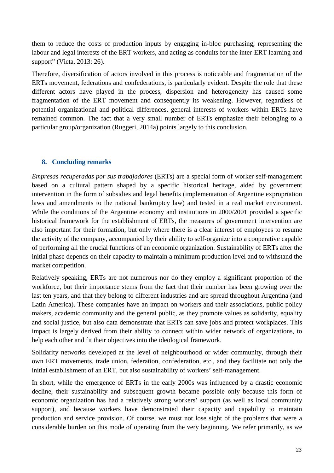them to reduce the costs of production inputs by engaging in-bloc purchasing, representing the labour and legal interests of the ERT workers, and acting as conduits for the inter-ERT learning and support" (Vieta, 2013: 26).

Therefore, diversification of actors involved in this process is noticeable and fragmentation of the ERTs movement, federations and confederations, is particularly evident. Despite the role that these different actors have played in the process, dispersion and heterogeneity has caused some fragmentation of the ERT movement and consequently its weakening. However, regardless of potential organizational and political differences, general interests of workers within ERTs have remained common. The fact that a very small number of ERTs emphasize their belonging to a particular group/organization (Ruggeri, 2014a) points largely to this conclusion.

# **8. Concluding remarks**

*Empresas recuperadas por sus trabajadores* (ERTs) are a special form of worker self-management based on a cultural pattern shaped by a specific historical heritage, aided by government intervention in the form of subsidies and legal benefits (implementation of Argentine expropriation laws and amendments to the national bankruptcy law) and tested in a real market environment. While the conditions of the Argentine economy and institutions in 2000/2001 provided a specific historical framework for the establishment of ERTs, the measures of government intervention are also important for their formation, but only where there is a clear interest of employees to resume the activity of the company, accompanied by their ability to self-organize into a cooperative capable of performing all the crucial functions of an economic organization. Sustainability of ERTs after the initial phase depends on their capacity to maintain a minimum production level and to withstand the market competition.

Relatively speaking, ERTs are not numerous nor do they employ a significant proportion of the workforce, but their importance stems from the fact that their number has been growing over the last ten years, and that they belong to different industries and are spread throughout Argentina (and Latin America). These companies have an impact on workers and their associations, public policy makers, academic community and the general public, as they promote values as solidarity, equality and social justice, but also data demonstrate that ERTs can save jobs and protect workplaces. This impact is largely derived from their ability to connect within wider network of organizations, to help each other and fit their objectives into the ideological framework.

Solidarity networks developed at the level of neighbourhood or wider community, through their own ERT movements, trade union, federation, confederation, etc., and they facilitate not only the initial establishment of an ERT, but also sustainability of workers' self-management.

In short, while the emergence of ERTs in the early 2000s was influenced by a drastic economic decline, their sustainability and subsequent growth became possible only because this form of economic organization has had a relatively strong workers' support (as well as local community support), and because workers have demonstrated their capacity and capability to maintain production and service provision. Of course, we must not lose sight of the problems that were a considerable burden on this mode of operating from the very beginning. We refer primarily, as we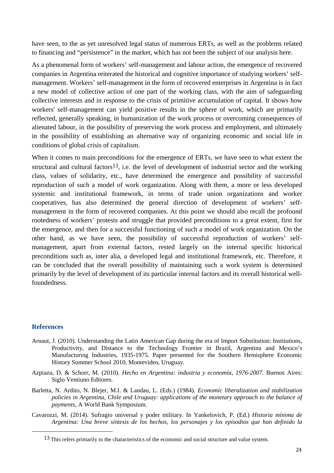have seen, to the as yet unresolved legal status of numerous ERTs, as well as the problems related to financing and "persistence" in the market, which has not been the subject of our analysis here.

As a phenomenal form of workers' self-management and labour action, the emergence of recovered companies in Argentina reiterated the historical and cognitive importance of studying workers' selfmanagement. Workers' self-management in the form of recovered enterprises in Argentina is in fact a new model of collective action of one part of the working class, with the aim of safeguarding collective interests and in response to the crisis of primitive accumulation of capital. It shows how workers' self-management can yield positive results in the sphere of work, which are primarily reflected, generally speaking, in humanization of the work process or overcoming consequences of alienated labour, in the possibility of preserving the work process and employment, and ultimately in the possibility of establishing an alternative way of organizing economic and social life in conditions of global crisis of capitalism.

When it comes to main preconditions for the emergence of ERTs, we have seen to what extent the structural and cultural factors<sup>13</sup>, i.e. the level of development of industrial sector and the working class, values of solidarity, etc., have determined the emergence and possibility of successful reproduction of such a model of work organization. Along with them, a more or less developed systemic and institutional framework, in terms of trade union organizations and worker cooperatives, has also determined the general direction of development of workers' selfmanagement in the form of recovered companies. At this point we should also recall the profound rootedness of workers' protests and struggle that provided preconditions to a great extent, first for the emergence, and then for a successful functioning of such a model of work organization. On the other hand, as we have seen, the possibility of successful reproduction of workers' selfmanagement, apart from external factors, rested largely on the internal specific historical preconditions such as, inter alia, a developed legal and institutional framework, etc. Therefore, it can be concluded that the overall possibility of maintaining such a work system is determined primarily by the level of development of its particular internal factors and its overall historical wellfoundedness.

## **References**

- Arnaut, J. (2010). Understanding the Latin American Gap during the era of Import Substitution: Institutions, Productivity, and Distance to the Technology Frontier in Brazil, Argentina and Mexico's Manufacturing Industries, 1935-1975. Paper presented for the Southern Hemisphere Economic History Summer School 2010, Montevideo, Uruguay.
- Azpiazu, D. & Schorr, M. (2010). *Hecho en Argentina: industria y economía, 1976-2007*. Buenos Aires: Siglo Ventiuno Editores.
- Barletta, N. Ardito, N. Blejer, M.I. & Landau, L. (Eds.) (1984). *Economic liberalization and stabilization policies in Argentina, Chile and Uruguay: applications of the monetary approach to the balance of payments*, A World Bank Symposium.
- Cavarozzi, M. (2014). Sufragio universal y poder military. In Yankelovich, P. (Ed.) *Historia mínima de Argentina: Una breve síntesis de los hechos, los personajes y los episodios que han definido la*

<sup>&</sup>lt;sup>13</sup> This refers primarily to the characteristics of the economic and social structure and value system.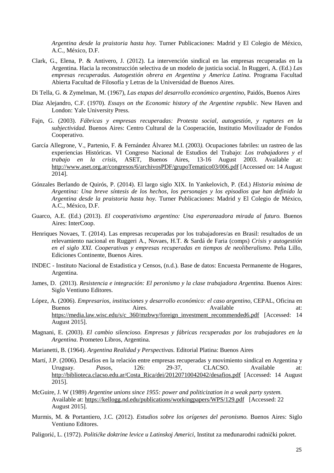*Argentina desde la praistoria hasta hoy.* Turner Publicaciones: Madrid y El Colegio de México, A.C., México, D.F.

- Clark, G., Elena, P. & Antivero, J. (2012). La intervención sindical en las empresas recuperadas en la Argentina. Hacia la reconstrucción selectiva de un modelo de justicia social. In Ruggeri, A. (Ed.) *Las empresas recuperadas. Autogestión obrera en Argentina y America Latina*. Programa Facultad Abierta Facultad de Filosofía y Letras de la Universidad de Buenos Aires.
- Di Tella, G. & Zymelman, M. (1967), *Las etapas del desarrollo económico argentino*, Paidós, Buenos Aires
- Díaz Alejandro, C.F. (1970). *Essays on the Economic history of the Argentine republic*. New Haven and London: Yale University Press.
- Fajn, G. (2003). *Fábricas y empresas recuperadas: Protesta social, autogestión, y ruptures en la subjectividad*. Buenos Aires: Centro Cultural de la Cooperación, Institutio Movilizador de Fondos Cooperativo.
- García Allegrone, V., Partenio, F. & Fernández Álvarez M.I. (2003*).* Ocupaciones fabriles: un rastreo de las experiencias Históricas. VI Congreso Nacional de Estudios del Trabajo: *Los trabajadores y el trabajo en la crisis,* ASET, Buenos Aires, 13-16 August 2003. Available at: http://www.aset.org.ar/congresos/6/archivosPDF/grupoTematico03/006.pdf [Accessed on: 14 August 2014].
- Gónzales Berlando de Quirós, P. (2014). El largo siglo XIX. In Yankelovich, P. (Ed.) *Historia mínima de Argentina: Una breve síntesis de los hechos, los personajes y los episodios que han definido la Argentina desde la praistoria hasta hoy.* Turner Publicaciones: Madrid y El Colegio de México, A.C., México, D.F.
- Guarco, A.E. (Ed.) (2013). *El cooperativismo argentino: Una esperanzadora mirada al futuro.* Buenos Aires: InterCoop.
- Henriques Novaes, T. (2014). Las empresas recuperadas por los trabajadores/as en Brasil: resultados de un relevamiento nacional en Ruggeri A., Novaes, H.T. & Sardá de Faria (comps) *Crisis y autogestión en el siglo XXI. Cooperativas y empresas recuperadas en tiempos de neoliberalismo*. Peña Lillo, Ediciones Continente, Buenos Aires.
- INDEC Instituto Nacional de Estadistica y Censos, (n.d.). Base de datos: Encuesta Permanente de Hogares, Argentina.
- James, D. (2013). *Resistencia e integración: El peronismo y la clase trabajadora Argentina.* Buenos Aires: Siglo Ventiuno Editores.
- López, A. (2006). *Empresarios, instituciones y desarrollo económico: el caso argentino*, CEPAL, Oficina en Buenos Aires. Aires Available at: https://media.law.wisc.edu/s/c\_360/mzbwy/foreign\_investment\_recommended6.pdf [Accessed: 14 August 2015].
- Magnani, E. (2003). *El cambio silencioso. Empresas y fábricas recuperadas por los trabajadores en la Argentina*. Prometeo Libros, Argentina.
- Marianetti, B. (1964). *Argentina Realidad y Perspectivas.* Editorial Platina: Buenos Aires
- Martí, J.P. (2006). Desafíos en la relación entre empresas recuperadas y movimiento sindical en Argentina y Uruguay. *Pasos*, 126: 29-37, CLACSO. Available at: http://biblioteca.clacso.edu.ar/Costa\_Rica/dei/20120710042042/desafios.pdf [Accessed: 14 August 2015].
- McGuire, J. W (1989) *Argentine unions since 1955: power and politicization in a weak party system.* Available at: https://kellogg.nd.edu/publications/workingpapers/WPS/129.pdf [Accessed: 22 August 2015].
- Murmis, M. & Portantiero, J.C. (2012). *Estudios sobre los orígenes del peronismo.* Buenos Aires: Siglo Ventiuno Editores.
- Paligorić, L. (1972). *Političke doktrine levice u Latinskoj Americi,* Institut za međunarodni radnički pokret.